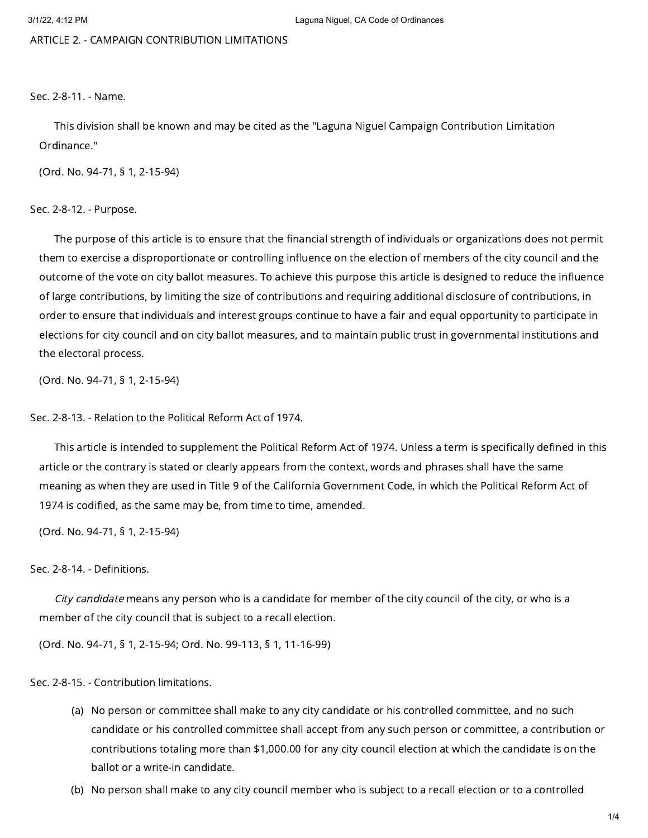ARTICLE 2. - CAMPAIGN CONTRIBUTION LIMITATIONS

Sec. 2-8-11. - Name.

This division shall be known and may be cited as the "Laguna Niguel Campaign Contribution Limitation Ordinance."

(Ord. No. 94-71, § 1, 2-15-94)

Sec. 2-8-12. - Purpose.

The purpose of this article is to ensure that the financial strength of individuals or organizations does not permit them to exercise a disproportionate or controlling influence on the election of members of the city council and the outcome of the vote on city ballot measures. To achieve this purpose this article is designed to reduce the influence of large contributions, by limiting the size of contributions and requiring additional disclosure of contributions, in order to ensure that individuals and interest groups continue to have a fair and equal opportunity to participate in elections for city council and on city ballot measures, and to maintain public trust in governmental institutions and the electoral process.

(Ord. No. 94-71, § 1, 2-15-94)

Sec. 2-8-13. - Relation to the Political Reform Act of 1974.

This article is intended to supplement the Political Reform Act of 1974. Unless a term is specifically defined in this article or the contrary is stated or clearly appears from the context, words and phrases shall have the same meaning as when they are used in Title 9 of the California Government Code, in which the Political Reform Act of 1974 is codified, as the same may be, from time to time, amended.

(Ord. No. 94-71, § 1, 2-15-94)

### Sec. 2-8-14. - Definitions.

City candidate means any person who is a candidate for member of the city council of the city, or who is a member of the city council that is subject to a recall election.

(Ord. No. 94-71, § 1, 2-15-94; Ord. No. 99-113, § 1, 11-16-99)

Sec. 2-8-15. - Contribution limitations.

- (a) No person or committee shall make to any city candidate or his controlled committee, and no such candidate or his controlled committee shall accept from any such person or committee, a contribution or contributions totaling more than \$1,000.00 for any city council election at which the candidate is on the ballot or a write-in candidate.
- (b) No person shall make to any city council member who is subject to a recall election or to a controlled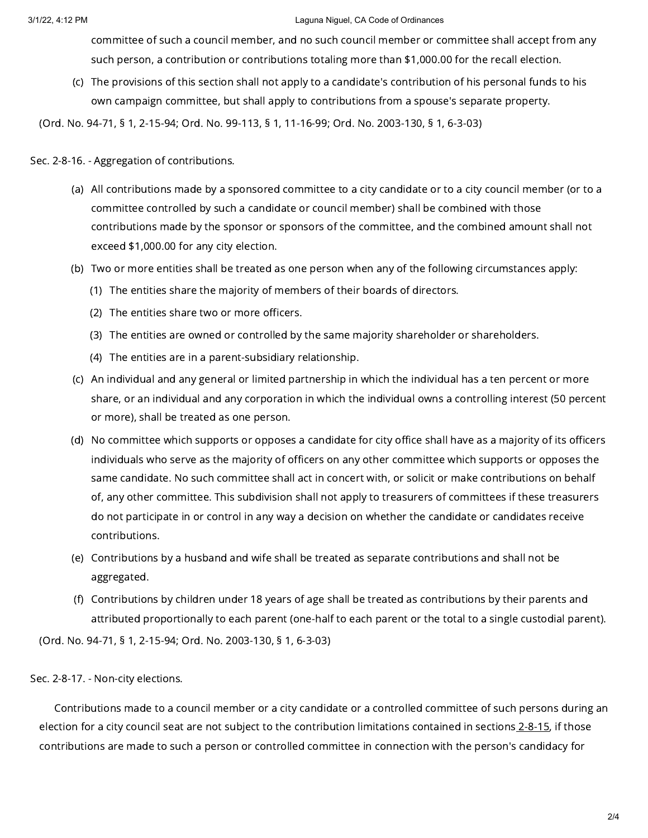#### 3/1/22, 4:12 PM Laguna Niguel, CA Code of Ordinances

committee of such a council member, and no such council member or committee shall accept from any such person, a contribution or contributions totaling more than \$1,000.00 for the recall election.

(c) The provisions of this section shall not apply to a candidate's contribution of his personal funds to his own campaign committee, but shall apply to contributions from a spouse's separate property.

(Ord. No. 94-71, § 1, 2-15-94; Ord. No. 99-113, § 1, 11-16-99; Ord. No. 2003-130, § 1, 6-3-03)

## Sec. 2-8-16. - Aggregation of contributions.

- (a) All contributions made by a sponsored committee to a city candidate or to a city council member (or to a committee controlled by such a candidate or council member) shall be combined with those contributions made by the sponsor or sponsors of the committee, and the combined amount shall not exceed \$1,000.00 for any city election.
- (b) Two or more entities shall be treated as one person when any of the following circumstances apply:
	- (1) The entities share the majority of members of their boards of directors.
	- (2) The entities share two or more officers.
	- (3) The entities are owned or controlled by the same majority shareholder or shareholders.
	- (4) The entities are in a parent-subsidiary relationship.
- (c) An individual and any general or limited partnership in which the individual has a ten percent or more share, or an individual and any corporation in which the individual owns a controlling interest (50 percent or more), shall be treated as one person.
- (d) No committee which supports or opposes a candidate for city office shall have as a majority of its officers individuals who serve as the majority of officers on any other committee which supports or opposes the same candidate. No such committee shall act in concert with, or solicit or make contributions on behalf of, any other committee. This subdivision shall not apply to treasurers of committees if these treasurers do not participate in or control in any way a decision on whether the candidate or candidates receive contributions.
- (e) Contributions by a husband and wife shall be treated as separate contributions and shall not be aggregated.
- (f) Contributions by children under 18 years of age shall be treated as contributions by their parents and attributed proportionally to each parent (one-half to each parent or the total to a single custodial parent).

(Ord. No. 94-71, § 1, 2-15-94; Ord. No. 2003-130, § 1, 6-3-03)

# Sec. 2-8-17. - Non-city elections.

Contributions made to a council member or a city candidate or a controlled committee of such persons during an election for a city council seat are not subject to the contribution limitations contained in sections [2-8-15,](https://library.municode.com/) if those contributions are made to such a person or controlled committee in connection with the person's candidacy for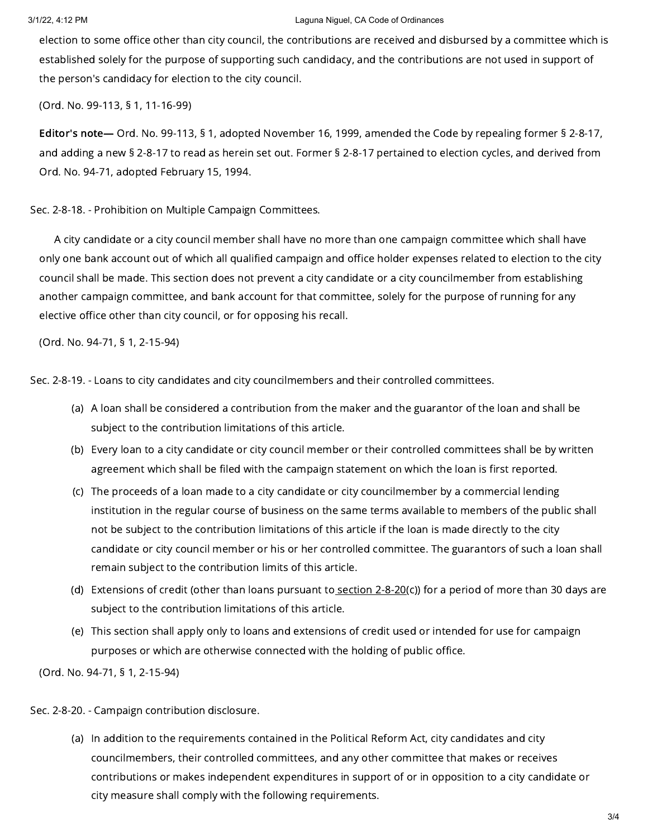### 3/1/22, 4:12 PM Laguna Niguel, CA Code of Ordinances

election to some office other than city council, the contributions are received and disbursed by a committee which is established solely for the purpose of supporting such candidacy, and the contributions are not used in support of the person's candidacy for election to the city council.

(Ord. No. 99-113, § 1, 11-16-99)

Editor's note— Ord. No. 99-113, § 1, adopted November 16, 1999, amended the Code by repealing former § 2-8-17, and adding a new § 2-8-17 to read as herein set out. Former § 2-8-17 pertained to election cycles, and derived from Ord. No. 94-71, adopted February 15, 1994.

Sec. 2-8-18. - Prohibition on Multiple Campaign Committees.

A city candidate or a city council member shall have no more than one campaign committee which shall have only one bank account out of which all qualified campaign and office holder expenses related to election to the city council shall be made. This section does not prevent a city candidate or a city councilmember from establishing another campaign committee, and bank account for that committee, solely for the purpose of running for any elective office other than city council, or for opposing his recall.

(Ord. No. 94-71, § 1, 2-15-94)

Sec. 2-8-19. - Loans to city candidates and city councilmembers and their controlled committees.

- (a) A loan shall be considered a contribution from the maker and the guarantor of the loan and shall be subject to the contribution limitations of this article.
- (b) Every loan to a city candidate or city council member or their controlled committees shall be by written agreement which shall be filed with the campaign statement on which the loan is first reported.
- (c) The proceeds of a loan made to a city candidate or city councilmember by a commercial lending institution in the regular course of business on the same terms available to members of the public shall not be subject to the contribution limitations of this article if the loan is made directly to the city candidate or city council member or his or her controlled committee. The guarantors of such a loan shall remain subject to the contribution limits of this article.
- (d) Extensions of credit (other than loans pursuant to<u> [section](https://library.municode.com/) 2-8-20</u>(c)) for a period of more than 30 days are subject to the contribution limitations of this article.
- (e) This section shall apply only to loans and extensions of credit used or intended for use for campaign purposes or which are otherwise connected with the holding of public office.

(Ord. No. 94-71, § 1, 2-15-94)

Sec. 2-8-20. - Campaign contribution disclosure.

(a) In addition to the requirements contained in the Political Reform Act, city candidates and city councilmembers, their controlled committees, and any other committee that makes or receives contributions or makes independent expenditures in support of or in opposition to a city candidate or city measure shall comply with the following requirements.